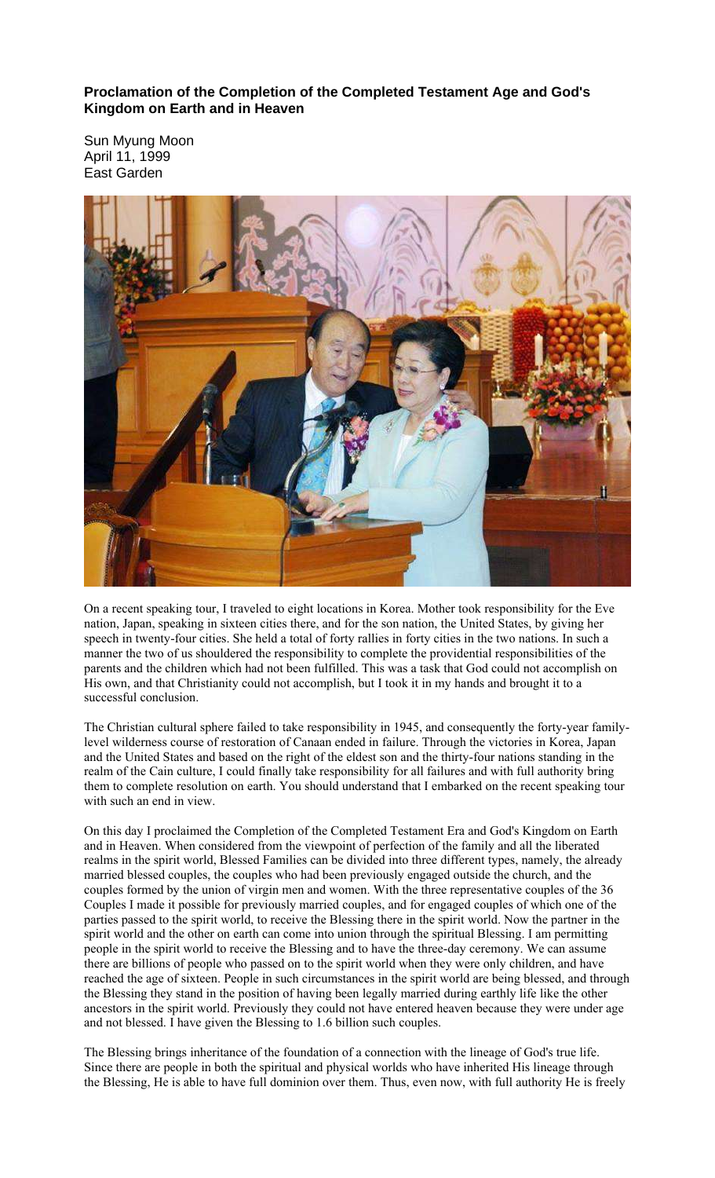**Proclamation of the Completion of the Completed Testament Age and God's Kingdom on Earth and in Heaven** 

Sun Myung Moon April 11, 1999 East Garden



On a recent speaking tour, I traveled to eight locations in Korea. Mother took responsibility for the Eve nation, Japan, speaking in sixteen cities there, and for the son nation, the United States, by giving her speech in twenty-four cities. She held a total of forty rallies in forty cities in the two nations. In such a manner the two of us shouldered the responsibility to complete the providential responsibilities of the parents and the children which had not been fulfilled. This was a task that God could not accomplish on His own, and that Christianity could not accomplish, but I took it in my hands and brought it to a successful conclusion.

The Christian cultural sphere failed to take responsibility in 1945, and consequently the forty-year familylevel wilderness course of restoration of Canaan ended in failure. Through the victories in Korea, Japan and the United States and based on the right of the eldest son and the thirty-four nations standing in the realm of the Cain culture, I could finally take responsibility for all failures and with full authority bring them to complete resolution on earth. You should understand that I embarked on the recent speaking tour with such an end in view.

On this day I proclaimed the Completion of the Completed Testament Era and God's Kingdom on Earth and in Heaven. When considered from the viewpoint of perfection of the family and all the liberated realms in the spirit world, Blessed Families can be divided into three different types, namely, the already married blessed couples, the couples who had been previously engaged outside the church, and the couples formed by the union of virgin men and women. With the three representative couples of the 36 Couples I made it possible for previously married couples, and for engaged couples of which one of the parties passed to the spirit world, to receive the Blessing there in the spirit world. Now the partner in the spirit world and the other on earth can come into union through the spiritual Blessing. I am permitting people in the spirit world to receive the Blessing and to have the three-day ceremony. We can assume there are billions of people who passed on to the spirit world when they were only children, and have reached the age of sixteen. People in such circumstances in the spirit world are being blessed, and through the Blessing they stand in the position of having been legally married during earthly life like the other ancestors in the spirit world. Previously they could not have entered heaven because they were under age and not blessed. I have given the Blessing to 1.6 billion such couples.

The Blessing brings inheritance of the foundation of a connection with the lineage of God's true life. Since there are people in both the spiritual and physical worlds who have inherited His lineage through the Blessing, He is able to have full dominion over them. Thus, even now, with full authority He is freely